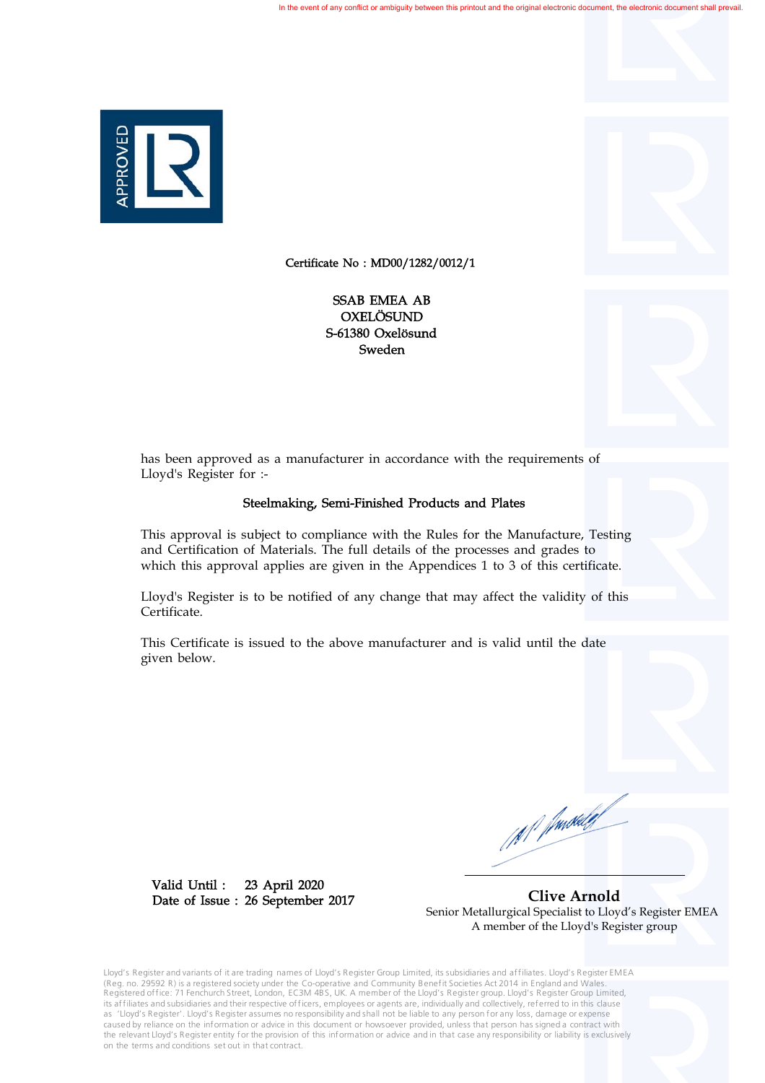

Certificate No : MD00/1282/0012/1

S-61380 Oxelösund Sweden OXELÖSUND SSAB EMEA AB



## Steelmaking, Semi-Finished Products and Plates

This approval is subject to compliance with the Rules for the Manufacture, Testing and Certification of Materials. The full details of the processes and grades to which this approval applies are given in the Appendices 1 to 3 of this certificate.

Lloyd's Register is to be notified of any change that may affect the validity of this Certificate.

This Certificate is issued to the above manufacturer and is valid until the date given below.

23 April 2020 26 September 2017 Date of Issue : Valid Until :

 **Clive Arnold** Senior Metallurgical Specialist to Lloyd's Register EMEA A member of the Lloyd's Register group

Lloyd's Register and variants of it are trading names of Lloyd's Register Group Limited, its subsidiaries and affiliates. Lloyd's Register EMEA (Reg. no. 29592 R) is a registered society under the Co-operative and Community Benefit Societies Act 2014 in England and Wales.<br>Registered office: 71 Fenchurch Street, London, EC3M 4BS, UK. A member of the Lloyd's Registe its affiliates and subsidiaries and their respective officers, employees or agents are, individually and collectively, referred to in this clause as 'Lloyd's Register'. Lloyd's Register assumes no responsibility and shall not be liable to any person for any loss, damage or expense caused by reliance on the information or advice in this document or howsoever provided, unless that person has signed a contract with the relevant Lloyd's Register entity for the provision of this information or advice and in that case any responsibility or liability is exclusively on the terms and conditions set out in that contract.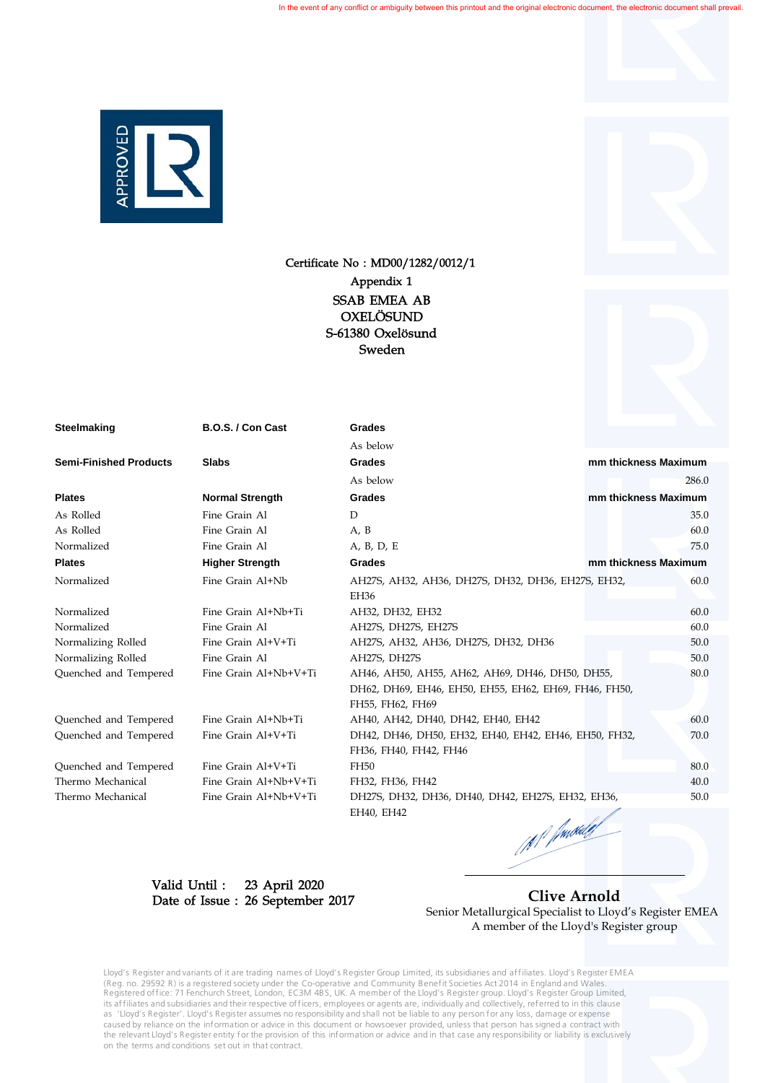

# Certificate No : MD00/1282/0012/1 S-61380 Oxelösund Sweden OXELÖSUND SSAB EMEA AB Appendix 1

| Steelmaking                   | B.O.S. / Con Cast      | Grades                                                |                      |
|-------------------------------|------------------------|-------------------------------------------------------|----------------------|
|                               |                        | As below                                              |                      |
| <b>Semi-Finished Products</b> | <b>Slabs</b>           | Grades                                                | mm thickness Maximum |
|                               |                        | As below                                              | 286.0                |
| <b>Plates</b>                 | <b>Normal Strength</b> | Grades                                                | mm thickness Maximum |
| As Rolled                     | Fine Grain Al          | D                                                     | 35.0                 |
| As Rolled                     | Fine Grain Al          | A, B                                                  | 60.0                 |
| Normalized                    | Fine Grain Al          | A, B, D, E                                            | 75.0                 |
| <b>Plates</b>                 | <b>Higher Strength</b> | <b>Grades</b>                                         | mm thickness Maximum |
| Normalized                    | Fine Grain Al+Nb       | AH27S, AH32, AH36, DH27S, DH32, DH36, EH27S, EH32,    | 60.0                 |
|                               |                        | EH36                                                  |                      |
| Normalized                    | Fine Grain Al+Nb+Ti    | AH32, DH32, EH32                                      | 60.0                 |
| Normalized                    | Fine Grain Al          | AH27S, DH27S, EH27S                                   | 60.0                 |
| Normalizing Rolled            | Fine Grain Al+V+Ti     | AH27S, AH32, AH36, DH27S, DH32, DH36                  | 50.0                 |
| Normalizing Rolled            | Fine Grain Al          | AH27S, DH27S                                          | 50.0                 |
| Quenched and Tempered         | Fine Grain Al+Nb+V+Ti  | AH46, AH50, AH55, AH62, AH69, DH46, DH50, DH55,       | 80.0                 |
|                               |                        | DH62, DH69, EH46, EH50, EH55, EH62, EH69, FH46, FH50, |                      |
|                               |                        | FH55, FH62, FH69                                      |                      |
| Quenched and Tempered         | Fine Grain Al+Nb+Ti    | AH40, AH42, DH40, DH42, EH40, EH42                    | 60.0                 |
| Quenched and Tempered         | Fine Grain Al+V+Ti     | DH42, DH46, DH50, EH32, EH40, EH42, EH46, EH50, FH32, | 70.0                 |
|                               |                        | FH36, FH40, FH42, FH46                                |                      |
| Quenched and Tempered         | Fine Grain Al+V+Ti     | FH50                                                  | 80.0                 |
| Thermo Mechanical             | Fine Grain Al+Nb+V+Ti  | FH32, FH36, FH42                                      | 40.0                 |
| Thermo Mechanical             | Fine Grain Al+Nb+V+Ti  | DH27S, DH32, DH36, DH40, DH42, EH27S, EH32, EH36,     | 50.0                 |
|                               |                        | EH40, EH42<br>a de alg                                |                      |

M Junkley

23 April 2020 26 September 2017 Date of Issue :Valid Until :

 **Clive Arnold** Senior Metallurgical Specialist to Lloyd's Register EMEA A member of the Lloyd's Register group

Lloyd's Register and variants of it are trading names of Lloyd's Register Group Limited, its subsidiaries and affiliates. Lloyd's Register EMEA (Reg. no. 29592 R) is a registered society under the Co-operative and Community Benefit Societies Act 2014 in England and Wales.<br>Registered office: 71 Fenchurch Street, London, EC3M 4BS, UK. A member of the Lloyd's Registe its affiliates and subsidiaries and their respective officers, employees or agents are, individually and collectively, referred to in this clause as 'Lloyd's Register'. Lloyd's Register assumes no responsibility and shall not be liable to any person for any loss, damage or expense caused by reliance on the information or advice in this document or howsoever provided, unless that person has signed a contract with the relevant Lloyd's Register entity for the provision of this information or advice and in that case any responsibility or liability is exclusively on the terms and conditions set out in that contract.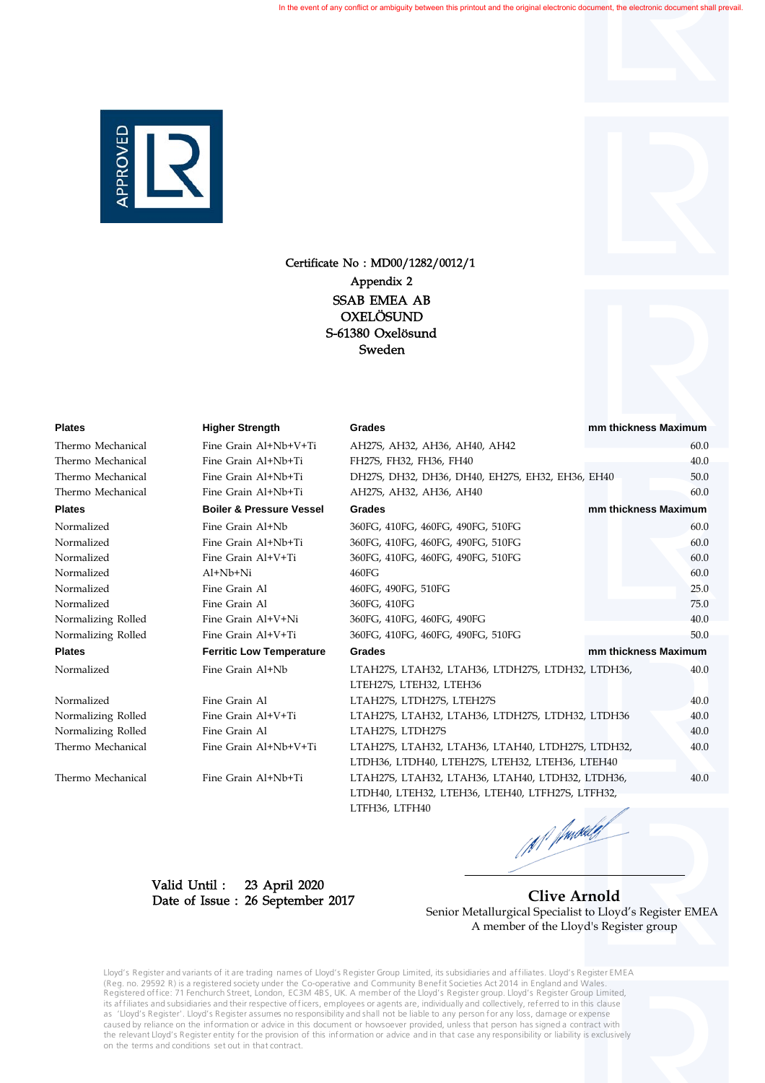

Certificate No : MD00/1282/0012/1 S-61380 Oxelösund Sweden OXELÖSUND SSAB EMEA AB Appendix 2

Thermo Mechanical Fine Grain Al+Nb+V+Ti LTAH27S, LTAH32, LTAH36, LTAH40, LTDH27S, LTDH32, 40.0

Normalizing Rolled Fine Grain Al+V+Ti Normalizing Rolled Fine Grain Al LTAH27S, LTDH27S 40.0

Thermo Mechanical Fine Grain Al+Nb+Ti LTAH27S, LTAH32, LTAH36, LTAH40, LTDH32, LTDH36, 40.0

| riates             | <b>Higher Strength</b>              | Grades                                            | mm thickness Maximum |
|--------------------|-------------------------------------|---------------------------------------------------|----------------------|
| Thermo Mechanical  | Fine Grain Al+Nb+V+Ti               | AH27S, AH32, AH36, AH40, AH42                     | 60.0                 |
| Thermo Mechanical  | Fine Grain Al+Nb+Ti                 | FH27S, FH32, FH36, FH40                           | 40.0                 |
| Thermo Mechanical  | Fine Grain Al+Nb+Ti                 | DH27S, DH32, DH36, DH40, EH27S, EH32, EH36, EH40  | 50.0                 |
| Thermo Mechanical  | Fine Grain Al+Nb+Ti                 | AH27S, AH32, AH36, AH40                           | 60.0                 |
| <b>Plates</b>      | <b>Boiler &amp; Pressure Vessel</b> | Grades                                            | mm thickness Maximum |
| Normalized         | Fine Grain Al+Nb                    | 360FG, 410FG, 460FG, 490FG, 510FG                 | 60.0                 |
| Normalized         | Fine Grain Al+Nb+Ti                 | 360FG, 410FG, 460FG, 490FG, 510FG                 | 60.0                 |
| Normalized         | Fine Grain Al+V+Ti                  | 360FG, 410FG, 460FG, 490FG, 510FG                 | 60.0                 |
| Normalized         | Al+Nb+Ni                            | 460FG                                             | 60.0                 |
| Normalized         | Fine Grain Al                       | 460FG, 490FG, 510FG                               | 25.0                 |
| Normalized         | Fine Grain Al                       | 360FG, 410FG                                      | 75.0                 |
| Normalizing Rolled | Fine Grain Al+V+Ni                  | 360FG, 410FG, 460FG, 490FG                        | 40.0                 |
| Normalizing Rolled | Fine Grain Al+V+Ti                  | 360FG, 410FG, 460FG, 490FG, 510FG                 | 50.0                 |
| <b>Plates</b>      | <b>Ferritic Low Temperature</b>     | Grades                                            | mm thickness Maximum |
| Normalized         | Fine Grain Al+Nb                    | LTAH27S, LTAH32, LTAH36, LTDH27S, LTDH32, LTDH36, | 40.0                 |
|                    |                                     | LTEH27S, LTEH32, LTEH36                           |                      |
| Normalized         | Fine Grain Al                       | LTAH27S, LTDH27S, LTEH27S                         | 40.0                 |
| Normalizing Rolled | Fine Grain Al+V+Ti                  | LTAH27S, LTAH32, LTAH36, LTDH27S, LTDH32, LTDH36  | 40.0                 |
|                    |                                     |                                                   |                      |

LTDH40, LTEH32, LTEH36, LTEH40, LTFH27S, LTFH32, LTFH36, LTFH40 M Junited J

LTDH36, LTDH40, LTEH27S, LTEH32, LTEH36, LTEH40

23 April 2020 26 September 2017 Date of Issue :Valid Until :

 **Clive Arnold** Senior Metallurgical Specialist to Lloyd's Register EMEA A member of the Lloyd's Register group

Lloyd's Register and variants of it are trading names of Lloyd's Register Group Limited, its subsidiaries and affiliates. Lloyd's Register EMEA (Reg. no. 29592 R) is a registered society under the Co-operative and Community Benefit Societies Act 2014 in England and Wales.<br>Registered office: 71 Fenchurch Street, London, EC3M 4BS, UK. A member of the Lloyd's Registe its affiliates and subsidiaries and their respective officers, employees or agents are, individually and collectively, referred to in this clause as 'Lloyd's Register'. Lloyd's Register assumes no responsibility and shall not be liable to any person for any loss, damage or expense caused by reliance on the information or advice in this document or howsoever provided, unless that person has signed a contract with the relevant Lloyd's Register entity for the provision of this information or advice and in that case any responsibility or liability is exclusively on the terms and conditions set out in that contract.